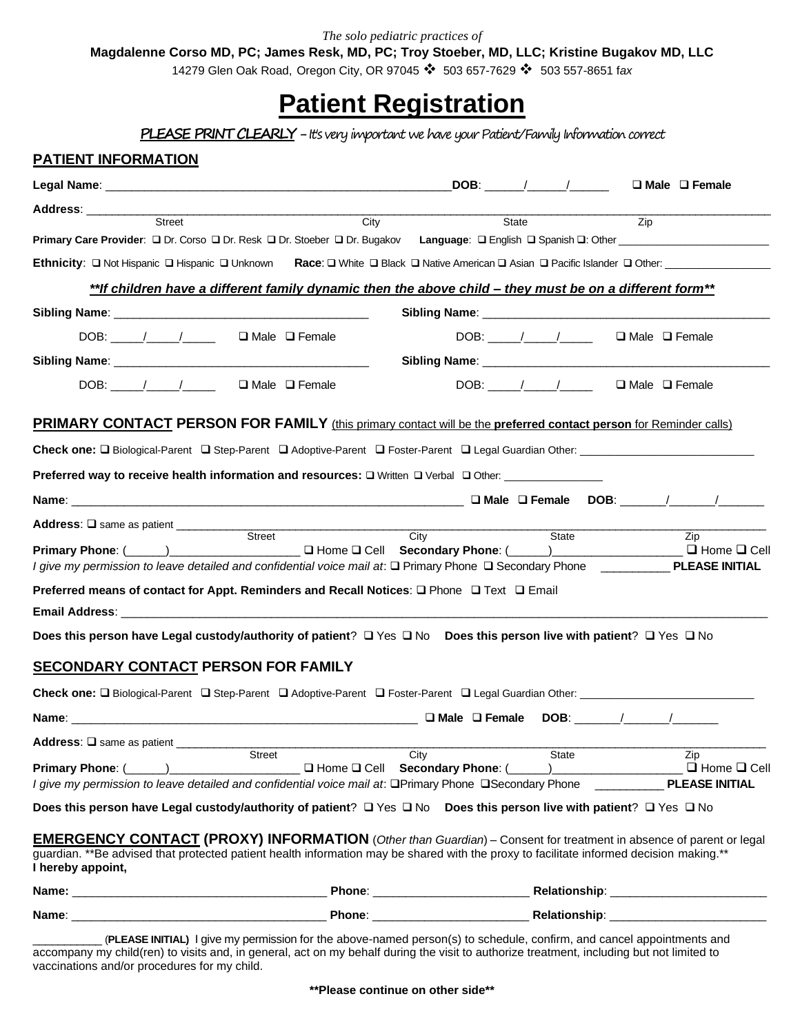*The solo pediatric practices of*

**Magdalenne Corso MD, PC; James Resk, MD, PC; Troy Stoeber, MD, LLC; Kristine Bugakov MD, LLC**

14279 Glen Oak Road, Oregon City, OR 97045 ❖ 503 657-7629 ❖ 503 557-8651 f*ax*

# **Patient Registration**

**PLEASE PRINT CLEARLY** - It's very important we have your Patient/Family Information correct

| <b>PATIENT INFORMATION</b>                                                                                                                                                                                                    |                                                                                                                                                                                                                                                                     |                                                                |                                                         |
|-------------------------------------------------------------------------------------------------------------------------------------------------------------------------------------------------------------------------------|---------------------------------------------------------------------------------------------------------------------------------------------------------------------------------------------------------------------------------------------------------------------|----------------------------------------------------------------|---------------------------------------------------------|
|                                                                                                                                                                                                                               |                                                                                                                                                                                                                                                                     |                                                                | $\Box$ Male $\Box$ Female                               |
| Address: ___________                                                                                                                                                                                                          |                                                                                                                                                                                                                                                                     |                                                                |                                                         |
| Street                                                                                                                                                                                                                        | City                                                                                                                                                                                                                                                                | State                                                          | Zip                                                     |
|                                                                                                                                                                                                                               | Primary Care Provider: □ Dr. Corso □ Dr. Resk □ Dr. Stoeber □ Dr. Bugakov Language: □ English □ Spanish □: Other _____________________                                                                                                                              |                                                                |                                                         |
|                                                                                                                                                                                                                               |                                                                                                                                                                                                                                                                     |                                                                |                                                         |
|                                                                                                                                                                                                                               | **If children have a different family dynamic then the above child – they must be on a different form**                                                                                                                                                             |                                                                |                                                         |
|                                                                                                                                                                                                                               |                                                                                                                                                                                                                                                                     |                                                                |                                                         |
| DOB: $\angle$ / $\angle$ $\angle$ $\Box$ Male $\Box$ Female                                                                                                                                                                   |                                                                                                                                                                                                                                                                     |                                                                | $\Box$ Male $\Box$ Female                               |
|                                                                                                                                                                                                                               |                                                                                                                                                                                                                                                                     |                                                                |                                                         |
| DOB: / / <b>I</b> Male I Female                                                                                                                                                                                               |                                                                                                                                                                                                                                                                     | DOB: / / <b>I</b> Male I Female                                |                                                         |
|                                                                                                                                                                                                                               | <b>PRIMARY CONTACT PERSON FOR FAMILY</b> (this primary contact will be the preferred contact person for Reminder calls)                                                                                                                                             |                                                                |                                                         |
|                                                                                                                                                                                                                               |                                                                                                                                                                                                                                                                     |                                                                |                                                         |
|                                                                                                                                                                                                                               | Preferred way to receive health information and resources: □ Written □ Verbal □ Other: ____________                                                                                                                                                                 |                                                                |                                                         |
|                                                                                                                                                                                                                               |                                                                                                                                                                                                                                                                     |                                                                |                                                         |
| Address: Q same as patient ____________                                                                                                                                                                                       |                                                                                                                                                                                                                                                                     |                                                                |                                                         |
| Primary Phone: (Comparison of the Contract of the Contract of the Contract of the Contract of the Contract of the Contract of the Contract of the Contract of the Contract of the Contract of the Contract of the Contract of | Street<br>City<br>I give my permission to leave detailed and confidential voice mail at: □ Primary Phone □ Secondary Phone □ PLEASE INITIAL                                                                                                                         | State<br>$\Box$ Home $\Box$ Cell Secondary Phone: $(\_\_\_\_)$ | Zip<br>$\Box$ Home $\Box$ Cell                          |
|                                                                                                                                                                                                                               | Preferred means of contact for Appt. Reminders and Recall Notices: □ Phone □ Text □ Email                                                                                                                                                                           |                                                                |                                                         |
|                                                                                                                                                                                                                               |                                                                                                                                                                                                                                                                     |                                                                |                                                         |
|                                                                                                                                                                                                                               | Does this person have Legal custody/authority of patient? □ Yes □ No Does this person live with patient? □ Yes □ No                                                                                                                                                 |                                                                |                                                         |
| <b>SECONDARY CONTACT PERSON FOR FAMILY</b>                                                                                                                                                                                    |                                                                                                                                                                                                                                                                     |                                                                |                                                         |
|                                                                                                                                                                                                                               | Check one: □ Biological-Parent □ Step-Parent □ Adoptive-Parent □ Foster-Parent □ Legal Guardian Other: ______________                                                                                                                                               |                                                                |                                                         |
|                                                                                                                                                                                                                               |                                                                                                                                                                                                                                                                     |                                                                |                                                         |
| Address: Q same as patient _________                                                                                                                                                                                          |                                                                                                                                                                                                                                                                     |                                                                |                                                         |
| Primary Phone: (1998)                                                                                                                                                                                                         | Street<br>City<br>I Home I Cell Secondary Phone: (<br>I give my permission to leave detailed and confidential voice mail at: □Primary Phone □Secondary Phone                                                                                                        | State                                                          | Zip<br>$\Box$ Home $\Box$ Cell<br><b>PLEASE INITIAL</b> |
|                                                                                                                                                                                                                               | Does this person have Legal custody/authority of patient? □ Yes □ No Does this person live with patient? □ Yes □ No                                                                                                                                                 |                                                                |                                                         |
|                                                                                                                                                                                                                               | <b>EMERGENCY CONTACT (PROXY) INFORMATION</b> (Other than Guardian) – Consent for treatment in absence of parent or legal<br>guardian. **Be advised that protected patient health information may be shared with the proxy to facilitate informed decision making.** |                                                                |                                                         |
|                                                                                                                                                                                                                               |                                                                                                                                                                                                                                                                     |                                                                |                                                         |
| I hereby appoint,                                                                                                                                                                                                             |                                                                                                                                                                                                                                                                     |                                                                |                                                         |

\_\_\_\_\_\_\_\_\_\_\_ (**PLEASE INITIAL)** I give my permission for the above-named person(s) to schedule, confirm, and cancel appointments and accompany my child(ren) to visits and, in general, act on my behalf during the visit to authorize treatment, including but not limited to vaccinations and/or procedures for my child.

**\*\*Please continue on other side\*\***